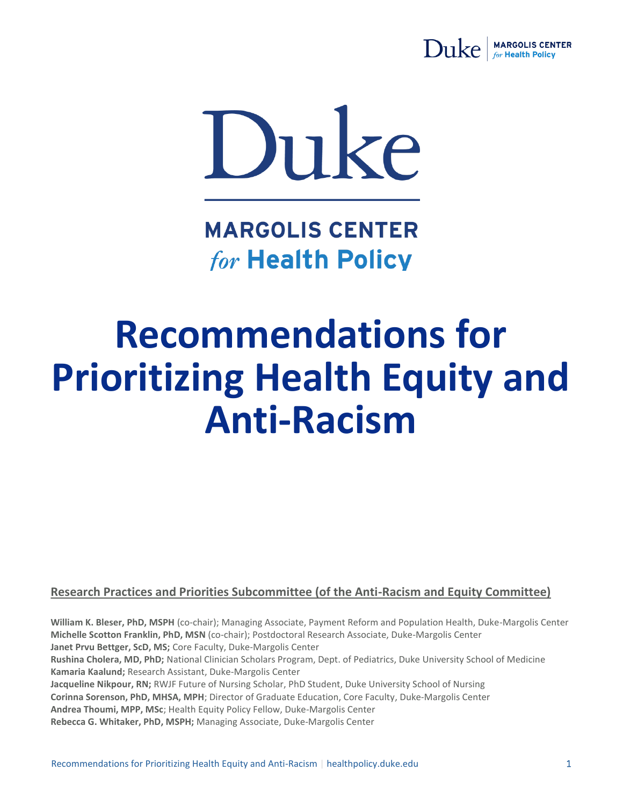



**MARGOLIS CENTER** for Health Policy

## **Recommendations for Prioritizing Health Equity and Anti-Racism**

#### **Research Practices and Priorities Subcommittee (of the Anti-Racism and Equity Committee)**

**William K. Bleser, PhD, MSPH** (co-chair); Managing Associate, Payment Reform and Population Health, Duke-Margolis Center **Michelle Scotton Franklin, PhD, MSN** (co-chair); Postdoctoral Research Associate, Duke-Margolis Center **Janet Prvu Bettger, ScD, MS;** Core Faculty, Duke-Margolis Center **Rushina Cholera, MD, PhD;** National Clinician Scholars Program, Dept. of Pediatrics, Duke University School of Medicine **Kamaria Kaalund;** Research Assistant, Duke-Margolis Center **Jacqueline Nikpour, RN;** RWJF Future of Nursing Scholar, PhD Student, Duke University School of Nursing **Corinna Sorenson, PhD, MHSA, MPH**; Director of Graduate Education, Core Faculty, Duke-Margolis Center **Andrea Thoumi, MPP, MSc**; Health Equity Policy Fellow, Duke-Margolis Center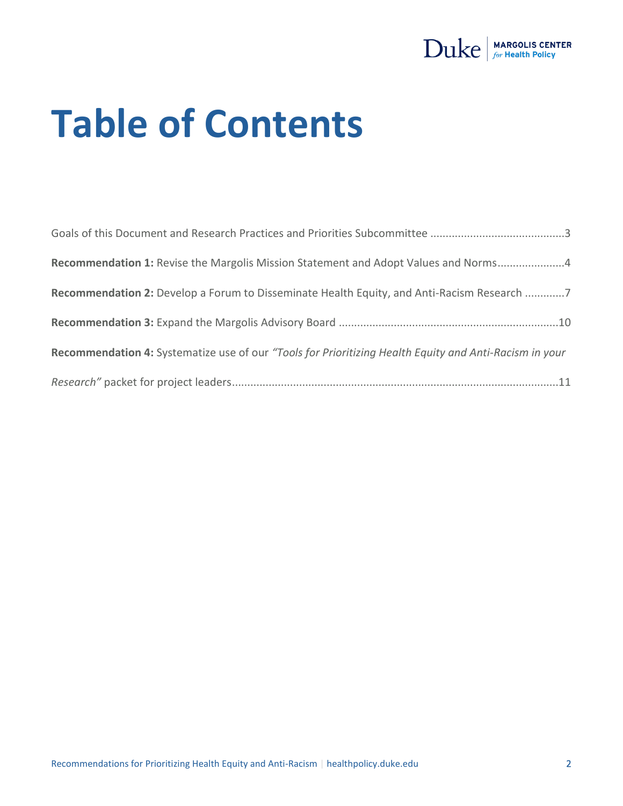

# **Table of Contents**

| Recommendation 1: Revise the Margolis Mission Statement and Adopt Values and Norms4                    |  |
|--------------------------------------------------------------------------------------------------------|--|
| Recommendation 2: Develop a Forum to Disseminate Health Equity, and Anti-Racism Research 7             |  |
|                                                                                                        |  |
| Recommendation 4: Systematize use of our "Tools for Prioritizing Health Equity and Anti-Racism in your |  |
|                                                                                                        |  |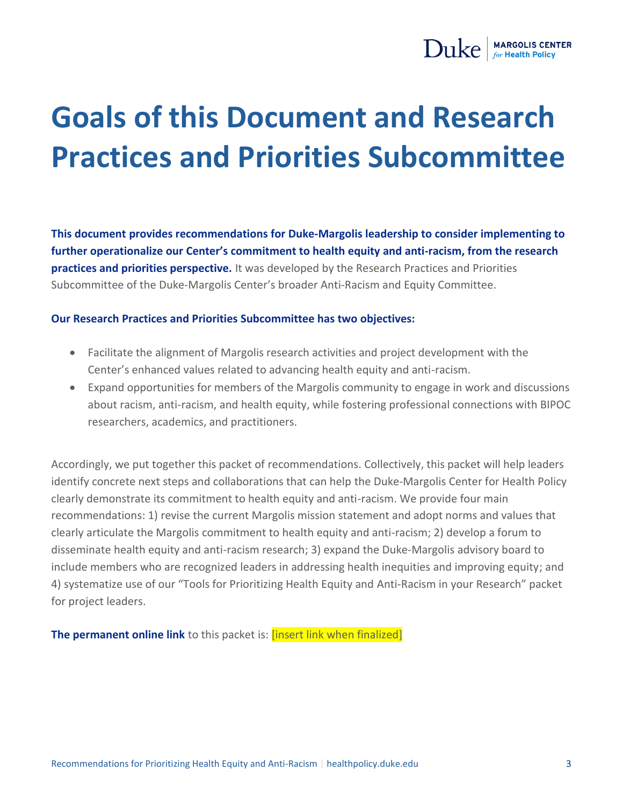

### <span id="page-2-0"></span>**Goals of this Document and Research Practices and Priorities Subcommittee**

**This document provides recommendations for Duke-Margolis leadership to consider implementing to further operationalize our Center's commitment to health equity and anti-racism, from the research practices and priorities perspective.** It was developed by the Research Practices and Priorities Subcommittee of the Duke-Margolis Center's broader Anti-Racism and Equity Committee.

#### **Our Research Practices and Priorities Subcommittee has two objectives:**

- Facilitate the alignment of Margolis research activities and project development with the Center's enhanced values related to advancing health equity and anti-racism.
- Expand opportunities for members of the Margolis community to engage in work and discussions about racism, anti-racism, and health equity, while fostering professional connections with BIPOC researchers, academics, and practitioners.

Accordingly, we put together this packet of recommendations. Collectively, this packet will help leaders identify concrete next steps and collaborations that can help the Duke-Margolis Center for Health Policy clearly demonstrate its commitment to health equity and anti-racism. We provide four main recommendations: 1) revise the current Margolis mission statement and adopt norms and values that clearly articulate the Margolis commitment to health equity and anti-racism; 2) develop a forum to disseminate health equity and anti-racism research; 3) expand the Duke-Margolis advisory board to include members who are recognized leaders in addressing health inequities and improving equity; and 4) systematize use of our "Tools for Prioritizing Health Equity and Anti-Racism in your Research" packet for project leaders.

**The permanent online link** to this packet is: **[insert link when finalized]**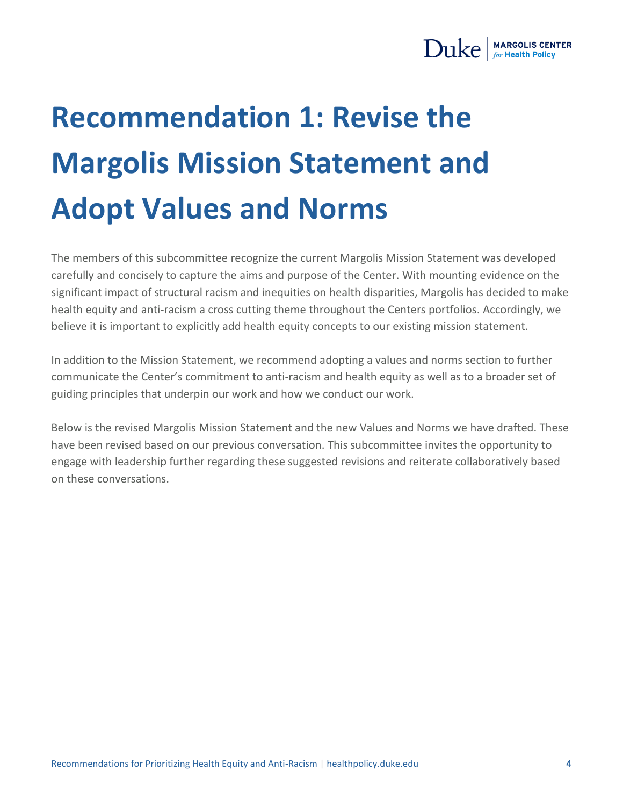

### <span id="page-3-0"></span>**Recommendation 1: Revise the Margolis Mission Statement and Adopt Values and Norms**

The members of this subcommittee recognize the current Margolis Mission Statement was developed carefully and concisely to capture the aims and purpose of the Center. With mounting evidence on the significant impact of structural racism and inequities on health disparities, Margolis has decided to make health equity and anti-racism a cross cutting theme throughout the Centers portfolios. Accordingly, we believe it is important to explicitly add health equity concepts to our existing mission statement.

In addition to the Mission Statement, we recommend adopting a values and norms section to further communicate the Center's commitment to anti-racism and health equity as well as to a broader set of guiding principles that underpin our work and how we conduct our work.

Below is the revised Margolis Mission Statement and the new Values and Norms we have drafted. These have been revised based on our previous conversation. This subcommittee invites the opportunity to engage with leadership further regarding these suggested revisions and reiterate collaboratively based on these conversations.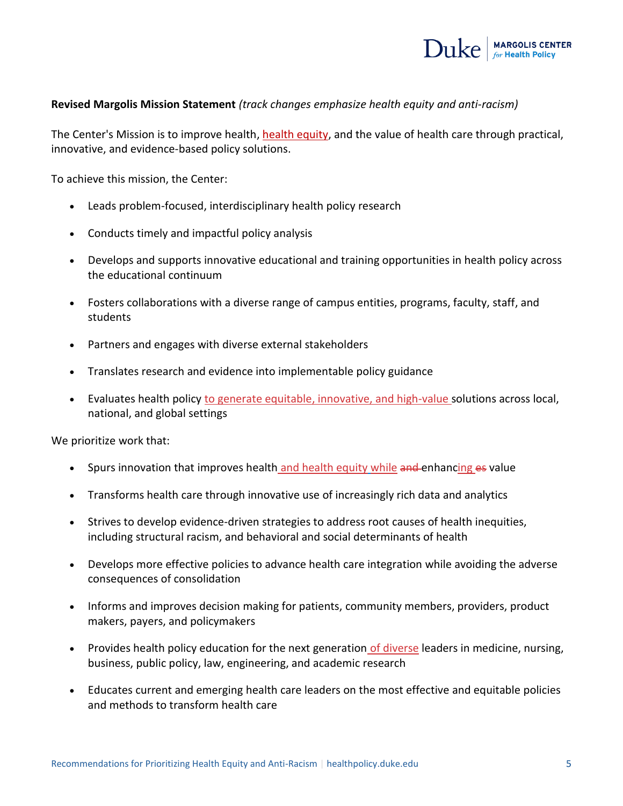

#### **Revised Margolis Mission Statement** *(track changes emphasize health equity and anti-racism)*

The Center's Mission is to improve health, health equity, and the value of health care through practical, innovative, and evidence-based policy solutions.

To achieve this mission, the Center:

- Leads problem-focused, interdisciplinary health policy research
- Conducts timely and impactful policy analysis
- Develops and supports innovative educational and training opportunities in health policy across the educational continuum
- Fosters collaborations with a diverse range of campus entities, programs, faculty, staff, and students
- Partners and engages with diverse external stakeholders
- Translates research and evidence into implementable policy guidance
- Evaluates health policy to generate equitable, innovative, and high-value solutions across local, national, and global settings

We prioritize work that:

- Spurs innovation that improves health and health equity while and enhancing es value
- Transforms health care through innovative use of increasingly rich data and analytics
- Strives to develop evidence-driven strategies to address root causes of health inequities, including structural racism, and behavioral and social determinants of health
- Develops more effective policies to advance health care integration while avoiding the adverse consequences of consolidation
- Informs and improves decision making for patients, community members, providers, product makers, payers, and policymakers
- Provides health policy education for the next generation of diverse leaders in medicine, nursing, business, public policy, law, engineering, and academic research
- Educates current and emerging health care leaders on the most effective and equitable policies and methods to transform health care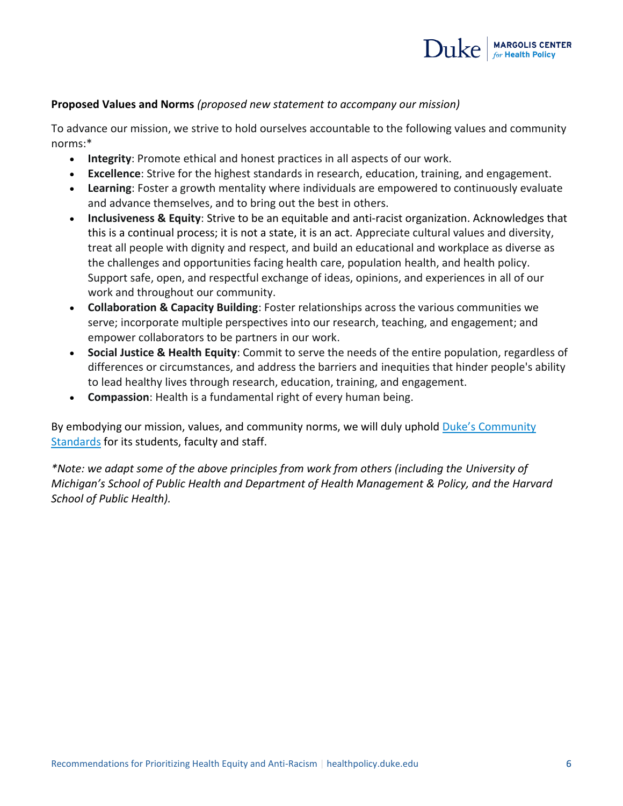

#### **Proposed Values and Norms** *(proposed new statement to accompany our mission)*

To advance our mission, we strive to hold ourselves accountable to the following values and community norms:\*

- **Integrity**: Promote ethical and honest practices in all aspects of our work.
- **Excellence**: Strive for the highest standards in research, education, training, and engagement.
- **Learning**: Foster a growth mentality where individuals are empowered to continuously evaluate and advance themselves, and to bring out the best in others.
- **Inclusiveness & Equity**: Strive to be an equitable and anti-racist organization. Acknowledges that this is a continual process; it is not a state, it is an act. Appreciate cultural values and diversity, treat all people with dignity and respect, and build an educational and workplace as diverse as the challenges and opportunities facing health care, population health, and health policy. Support safe, open, and respectful exchange of ideas, opinions, and experiences in all of our work and throughout our community.
- **Collaboration & Capacity Building**: Foster relationships across the various communities we serve; incorporate multiple perspectives into our research, teaching, and engagement; and empower collaborators to be partners in our work.
- **Social Justice & Health Equity**: Commit to serve the needs of the entire population, regardless of differences or circumstances, and address the barriers and inequities that hinder people's ability to lead healthy lives through research, education, training, and engagement.
- **Compassion**: Health is a fundamental right of every human being.

By embodying our mission, values, and community norms, we will duly uphold [Duke's Community](https://studentaffairs.duke.edu/conduct/about-us/duke-community-standard)  [Standards](https://studentaffairs.duke.edu/conduct/about-us/duke-community-standard) for its students, faculty and staff.

*\*Note: we adapt some of the above principles from work from others (including the University of Michigan's School of Public Health and Department of Health Management & Policy, and the Harvard School of Public Health).*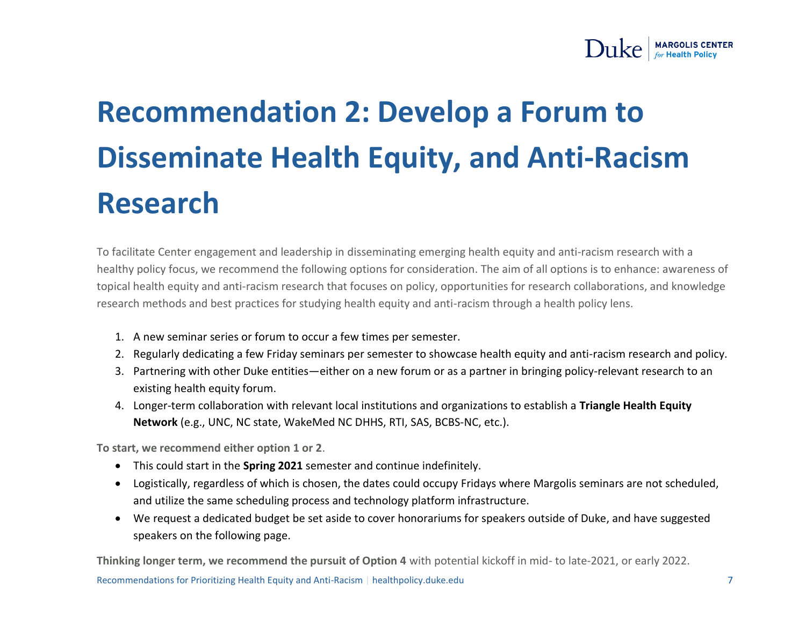

### **Recommendation 2: Develop a Forum to Disseminate Health Equity, and Anti-Racism Research**

<span id="page-6-0"></span>To facilitate Center engagement and leadership in disseminating emerging health equity and anti-racism research with a healthy policy focus, we recommend the following options for consideration. The aim of all options is to enhance: awareness of topical health equity and anti-racism research that focuses on policy, opportunities for research collaborations, and knowledge research methods and best practices for studying health equity and anti-racism through a health policy lens.

- 1. A new seminar series or forum to occur a few times per semester.
- 2. Regularly dedicating a few Friday seminars per semester to showcase health equity and anti-racism research and policy.
- 3. Partnering with other Duke entities—either on a new forum or as a partner in bringing policy-relevant research to an existing health equity forum.
- 4. Longer-term collaboration with relevant local institutions and organizations to establish a **Triangle Health Equity Network** (e.g., UNC, NC state, WakeMed NC DHHS, RTI, SAS, BCBS-NC, etc.).

**To start, we recommend either option 1 or 2**.

- This could start in the **Spring 2021** semester and continue indefinitely.
- Logistically, regardless of which is chosen, the dates could occupy Fridays where Margolis seminars are not scheduled, and utilize the same scheduling process and technology platform infrastructure.
- We request a dedicated budget be set aside to cover honorariums for speakers outside of Duke, and have suggested speakers on the following page.

**Thinking longer term, we recommend the pursuit of Option 4** with potential kickoff in mid- to late-2021, or early 2022.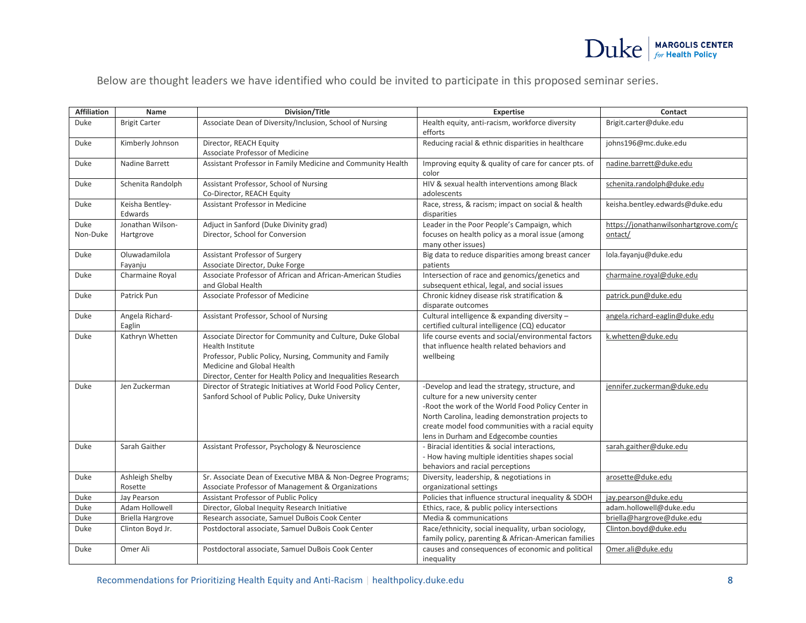

Below are thought leaders we have identified who could be invited to participate in this proposed seminar series.

| <b>Affiliation</b> | Name                          | Division/Title                                                                                                                                                                                                                         | <b>Expertise</b>                                                                                                                                                                                                                                                                               | Contact                                          |
|--------------------|-------------------------------|----------------------------------------------------------------------------------------------------------------------------------------------------------------------------------------------------------------------------------------|------------------------------------------------------------------------------------------------------------------------------------------------------------------------------------------------------------------------------------------------------------------------------------------------|--------------------------------------------------|
| Duke               | <b>Brigit Carter</b>          | Associate Dean of Diversity/Inclusion, School of Nursing                                                                                                                                                                               | Health equity, anti-racism, workforce diversity<br>efforts                                                                                                                                                                                                                                     | Brigit.carter@duke.edu                           |
| Duke               | Kimberly Johnson              | Director, REACH Equity<br>Associate Professor of Medicine                                                                                                                                                                              | Reducing racial & ethnic disparities in healthcare                                                                                                                                                                                                                                             | johns196@mc.duke.edu                             |
| Duke               | Nadine Barrett                | Assistant Professor in Family Medicine and Community Health                                                                                                                                                                            | Improving equity & quality of care for cancer pts. of<br>color                                                                                                                                                                                                                                 | nadine.barrett@duke.edu                          |
| Duke               | Schenita Randolph             | Assistant Professor, School of Nursing<br>Co-Director, REACH Equity                                                                                                                                                                    | HIV & sexual health interventions among Black<br>adolescents                                                                                                                                                                                                                                   | schenita.randolph@duke.edu                       |
| Duke               | Keisha Bentley-<br>Edwards    | Assistant Professor in Medicine                                                                                                                                                                                                        | Race, stress, & racism; impact on social & health<br>disparities                                                                                                                                                                                                                               | keisha.bentley.edwards@duke.edu                  |
| Duke<br>Non-Duke   | Jonathan Wilson-<br>Hartgrove | Adjuct in Sanford (Duke Divinity grad)<br>Director, School for Conversion                                                                                                                                                              | Leader in the Poor People's Campaign, which<br>focuses on health policy as a moral issue (among<br>many other issues)                                                                                                                                                                          | https://jonathanwilsonhartgrove.com/c<br>ontact/ |
| Duke               | Oluwadamilola<br>Fayanju      | Assistant Professor of Surgery<br>Associate Director, Duke Forge                                                                                                                                                                       | Big data to reduce disparities among breast cancer<br>patients                                                                                                                                                                                                                                 | lola.fayanju@duke.edu                            |
| Duke               | Charmaine Royal               | Associate Professor of African and African-American Studies<br>and Global Health                                                                                                                                                       | Intersection of race and genomics/genetics and<br>subsequent ethical, legal, and social issues                                                                                                                                                                                                 | charmaine.royal@duke.edu                         |
| Duke               | Patrick Pun                   | Associate Professor of Medicine                                                                                                                                                                                                        | Chronic kidney disease risk stratification &<br>disparate outcomes                                                                                                                                                                                                                             | patrick.pun@duke.edu                             |
| Duke               | Angela Richard-<br>Eaglin     | Assistant Professor, School of Nursing                                                                                                                                                                                                 | Cultural intelligence & expanding diversity -<br>certified cultural intelligence (CQ) educator                                                                                                                                                                                                 | angela.richard-eaglin@duke.edu                   |
| Duke               | Kathryn Whetten               | Associate Director for Community and Culture, Duke Global<br>Health Institute<br>Professor, Public Policy, Nursing, Community and Family<br>Medicine and Global Health<br>Director, Center for Health Policy and Inequalities Research | life course events and social/environmental factors<br>that influence health related behaviors and<br>wellbeing                                                                                                                                                                                | k.whetten@duke.edu                               |
| Duke               | Jen Zuckerman                 | Director of Strategic Initiatives at World Food Policy Center,<br>Sanford School of Public Policy, Duke University                                                                                                                     | -Develop and lead the strategy, structure, and<br>culture for a new university center<br>-Root the work of the World Food Policy Center in<br>North Carolina, leading demonstration projects to<br>create model food communities with a racial equity<br>lens in Durham and Edgecombe counties | jennifer.zuckerman@duke.edu                      |
| Duke               | Sarah Gaither                 | Assistant Professor, Psychology & Neuroscience                                                                                                                                                                                         | - Biracial identities & social interactions,<br>- How having multiple identities shapes social<br>behaviors and racial perceptions                                                                                                                                                             | sarah.gaither@duke.edu                           |
| Duke               | Ashleigh Shelby<br>Rosette    | Sr. Associate Dean of Executive MBA & Non-Degree Programs;<br>Associate Professor of Management & Organizations                                                                                                                        | Diversity, leadership, & negotiations in<br>organizational settings                                                                                                                                                                                                                            | arosette@duke.edu                                |
| Duke               | Jay Pearson                   | Assistant Professor of Public Policy                                                                                                                                                                                                   | Policies that influence structural inequality & SDOH                                                                                                                                                                                                                                           | jay.pearson@duke.edu                             |
| Duke               | Adam Hollowell                | Director, Global Inequity Research Initiative                                                                                                                                                                                          | Ethics, race, & public policy intersections                                                                                                                                                                                                                                                    | adam.hollowell@duke.edu                          |
| Duke               | <b>Briella Hargrove</b>       | Research associate, Samuel DuBois Cook Center                                                                                                                                                                                          | Media & communications                                                                                                                                                                                                                                                                         | briella@hargrove@duke.edu                        |
| Duke               | Clinton Boyd Jr.              | Postdoctoral associate, Samuel DuBois Cook Center                                                                                                                                                                                      | Race/ethnicity, social inequality, urban sociology,<br>family policy, parenting & African-American families                                                                                                                                                                                    | Clinton.boyd@duke.edu                            |
| Duke               | Omer Ali                      | Postdoctoral associate, Samuel DuBois Cook Center                                                                                                                                                                                      | causes and consequences of economic and political<br>inequality                                                                                                                                                                                                                                | Omer.ali@duke.edu                                |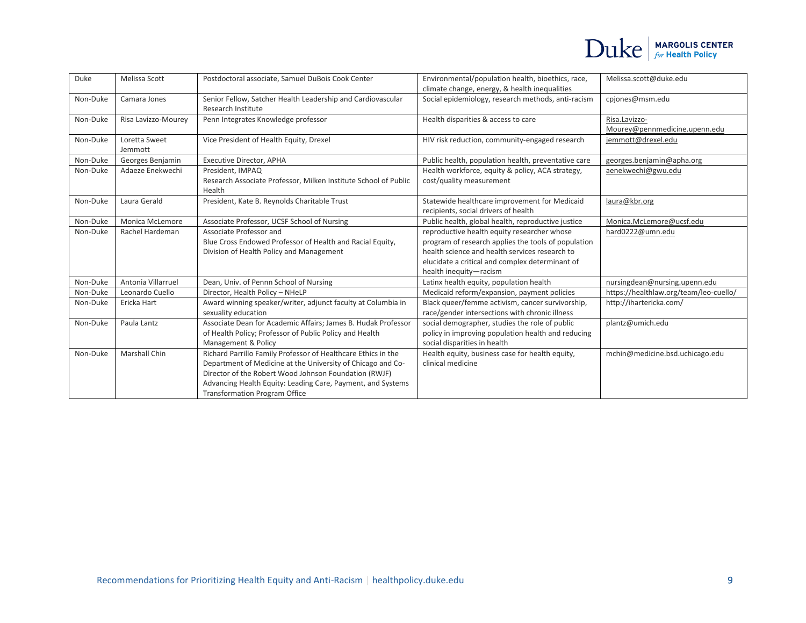| Duke     | Melissa Scott            | Postdoctoral associate, Samuel DuBois Cook Center                                                                                                                                                                                                                                            | Environmental/population health, bioethics, race,                                                                                                                                                                                 | Melissa.scott@duke.edu                         |
|----------|--------------------------|----------------------------------------------------------------------------------------------------------------------------------------------------------------------------------------------------------------------------------------------------------------------------------------------|-----------------------------------------------------------------------------------------------------------------------------------------------------------------------------------------------------------------------------------|------------------------------------------------|
|          |                          |                                                                                                                                                                                                                                                                                              | climate change, energy, & health inequalities                                                                                                                                                                                     |                                                |
| Non-Duke | Camara Jones             | Senior Fellow, Satcher Health Leadership and Cardiovascular<br>Research Institute                                                                                                                                                                                                            | Social epidemiology, research methods, anti-racism                                                                                                                                                                                | cpiones@msm.edu                                |
| Non-Duke | Risa Lavizzo-Mourey      | Penn Integrates Knowledge professor                                                                                                                                                                                                                                                          | Health disparities & access to care                                                                                                                                                                                               | Risa.Lavizzo-<br>Mourey@pennmedicine.upenn.edu |
| Non-Duke | Loretta Sweet<br>Jemmott | Vice President of Health Equity, Drexel                                                                                                                                                                                                                                                      | HIV risk reduction, community-engaged research                                                                                                                                                                                    | jemmott@drexel.edu                             |
| Non-Duke | Georges Benjamin         | <b>Executive Director, APHA</b>                                                                                                                                                                                                                                                              | Public health, population health, preventative care                                                                                                                                                                               | georges.benjamin@apha.org                      |
| Non-Duke | Adaeze Enekwechi         | President, IMPAQ<br>Research Associate Professor, Milken Institute School of Public<br>Health                                                                                                                                                                                                | Health workforce, equity & policy, ACA strategy,<br>cost/quality measurement                                                                                                                                                      | aenekwechi@gwu.edu                             |
| Non-Duke | Laura Gerald             | President, Kate B. Reynolds Charitable Trust                                                                                                                                                                                                                                                 | Statewide healthcare improvement for Medicaid<br>recipients, social drivers of health                                                                                                                                             | laura@kbr.org                                  |
| Non-Duke | Monica McLemore          | Associate Professor, UCSF School of Nursing                                                                                                                                                                                                                                                  | Public health, global health, reproductive justice                                                                                                                                                                                | Monica.McLemore@ucsf.edu                       |
| Non-Duke | Rachel Hardeman          | Associate Professor and<br>Blue Cross Endowed Professor of Health and Racial Equity,<br>Division of Health Policy and Management                                                                                                                                                             | reproductive health equity researcher whose<br>program of research applies the tools of population<br>health science and health services research to<br>elucidate a critical and complex determinant of<br>health inequity-racism | hard0222@umn.edu                               |
| Non-Duke | Antonia Villarruel       | Dean, Univ. of Pennn School of Nursing                                                                                                                                                                                                                                                       | Latinx health equity, population health                                                                                                                                                                                           | nursingdean@nursing.upenn.edu                  |
| Non-Duke | Leonardo Cuello          | Director, Health Policy - NHeLP                                                                                                                                                                                                                                                              | Medicaid reform/expansion, payment policies                                                                                                                                                                                       | https://healthlaw.org/team/leo-cuello/         |
| Non-Duke | Ericka Hart              | Award winning speaker/writer, adjunct faculty at Columbia in<br>sexuality education                                                                                                                                                                                                          | Black queer/femme activism, cancer survivorship,<br>race/gender intersections with chronic illness                                                                                                                                | http://ihartericka.com/                        |
| Non-Duke | Paula Lantz              | Associate Dean for Academic Affairs; James B. Hudak Professor<br>of Health Policy; Professor of Public Policy and Health<br>Management & Policy                                                                                                                                              | social demographer, studies the role of public<br>policy in improving population health and reducing<br>social disparities in health                                                                                              | plantz@umich.edu                               |
| Non-Duke | <b>Marshall Chin</b>     | Richard Parrillo Family Professor of Healthcare Ethics in the<br>Department of Medicine at the University of Chicago and Co-<br>Director of the Robert Wood Johnson Foundation (RWJF)<br>Advancing Health Equity: Leading Care, Payment, and Systems<br><b>Transformation Program Office</b> | Health equity, business case for health equity,<br>clinical medicine                                                                                                                                                              | mchin@medicine.bsd.uchicago.edu                |

 $\text{Duke}$  MARGOLIS CENTER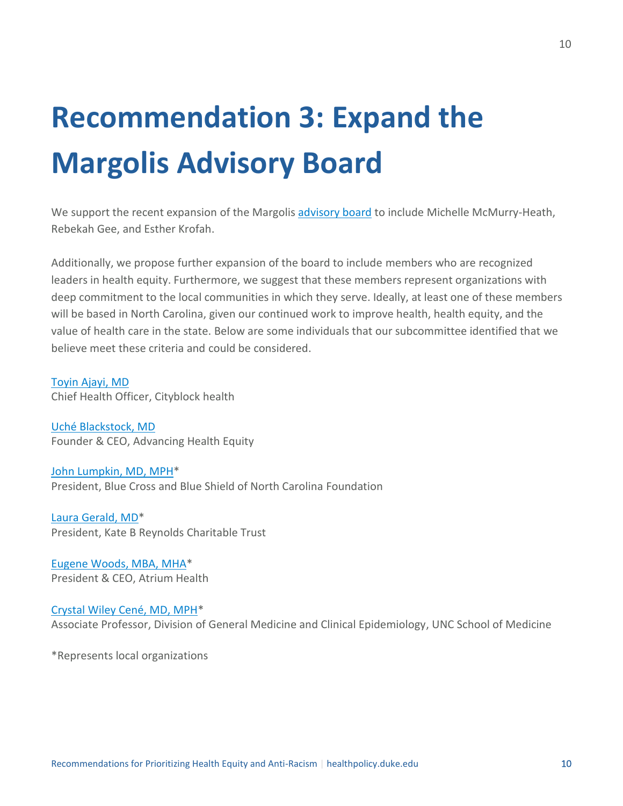### <span id="page-9-0"></span>**Recommendation 3: Expand the Margolis Advisory Board**

We support the recent expansion of the Margolis [advisory board](https://healthpolicy.duke.edu/advisory-board) to include Michelle McMurry-Heath, Rebekah Gee, and Esther Krofah.

Additionally, we propose further expansion of the board to include members who are recognized leaders in health equity. Furthermore, we suggest that these members represent organizations with deep commitment to the local communities in which they serve. Ideally, at least one of these members will be based in North Carolina, given our continued work to improve health, health equity, and the value of health care in the state. Below are some individuals that our subcommittee identified that we believe meet these criteria and could be considered.

[Toyin Ajayi,](https://dhis.net/toyin-ajayi/) MD Chief Health Officer, Cityblock health

Uché [Blackstock, MD](https://advancinghealthequity.com/about) Founder & CEO, Advancing Health Equity

[John Lumpkin, MD, MPH\\*](https://www.bcbsncfoundation.org/about/who-we-are/john-lumpkin/#:~:text=John%20R.,Carolina%20Foundation%20since%20April%202019.&text=In%20addition%20to%20his%20role,Blue%20Shield%20of%20North%20Carolina.) President, Blue Cross and Blue Shield of North Carolina Foundation

[Laura Gerald, MD\\*](https://kbr.org/people/dr-laura-gerald/) President, Kate B Reynolds Charitable Trust

[Eugene Woods, MBA, MHA\\*](https://atriumhealth.org/about-us/leadership) President & CEO, Atrium Health

[Crystal Wiley Cené, MD, MPH\\*](https://www.med.unc.edu/medicine/directory/crystal-wiley-cene-md-mph/) Associate Professor, Division of General Medicine and Clinical Epidemiology, UNC School of Medicine

\*Represents local organizations